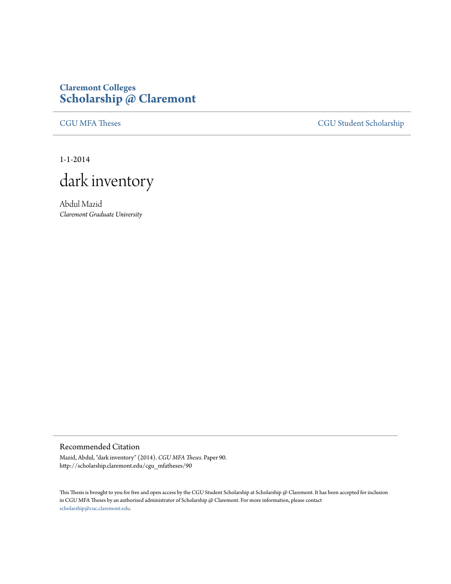## **Claremont Colleges [Scholarship @ Claremont](http://scholarship.claremont.edu)**

[CGU MFA Theses](http://scholarship.claremont.edu/cgu_mfatheses) [CGU Student Scholarship](http://scholarship.claremont.edu/cgu_student)

1-1-2014



Abdul Mazid *Claremont Graduate University*

## Recommended Citation

Mazid, Abdul, "dark inventory" (2014). *CGU MFA Theses.* Paper 90. http://scholarship.claremont.edu/cgu\_mfatheses/90

This Thesis is brought to you for free and open access by the CGU Student Scholarship at Scholarship @ Claremont. It has been accepted for inclusion in CGU MFA Theses by an authorized administrator of Scholarship @ Claremont. For more information, please contact [scholarship@cuc.claremont.edu.](mailto:scholarship@cuc.claremont.edu)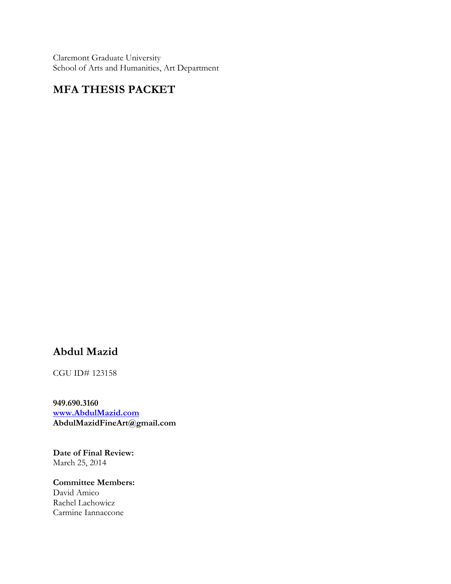Claremont Graduate University School of Arts and Humanities, Art Department

## **MFA THESIS PACKET**

## **Abdul Mazid**

CGU ID# 123158

**949.690.3160 www.AbdulMazid.com AbdulMazidFineArt@gmail.com**

**Date of Final Review:** March 25, 2014

**Committee Members:** David Amico Rachel Lachowicz Carmine Iannaccone